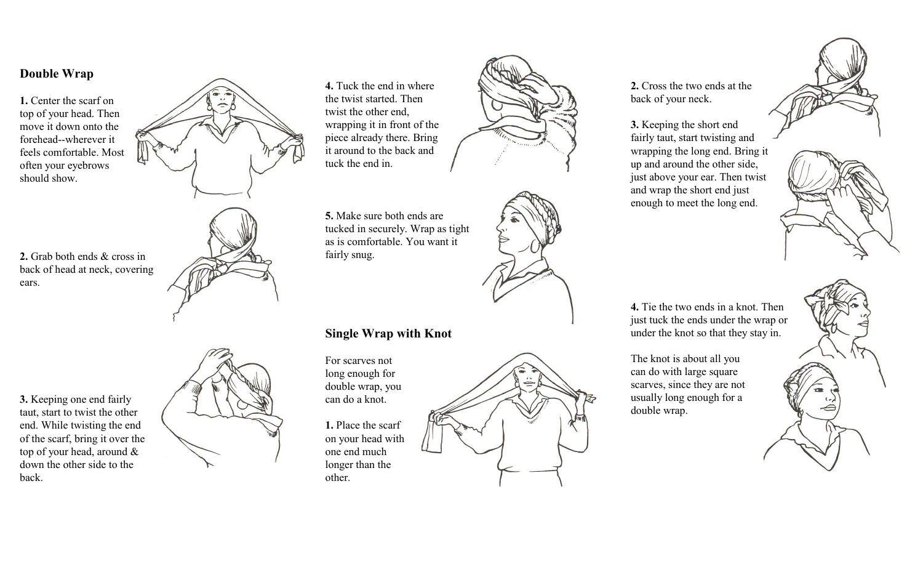## **Double Wrap**

**1.** Center the scarf on top of your head. Then move it down onto the forehead--wherever it feels comfortable. Most often your eyebrows should show.



**2.** Grab both ends & cross in back of head at neck, covering ears.



**3.** Keeping one end fairly taut, start to twist the other end. While twisting the end of the scarf, bring it over the top of your head, around & down the other side to the back.



**4.** Tuck the end in where the twist started. Then twist the other end, wrapping it in front of the piece already there. Bring it around to the back and tuck the end in.



**5.** Make sure both ends are tucked in securely. Wrap as tight as is comfortable. You want it fairly snug.

#### **Single Wrap with Knot**

For scarves not long enough for double wrap, you can do a knot.

**1.** Place the scarf on your head with one end much longer than the other.



**2.** Cross the two ends at the back of your neck.

**3.** Keeping the short end fairly taut, start twisting and wrapping the long end. Bring it up and around the other side, just above your ear. Then twist and wrap the short end just enough to meet the long end.





**4.** Tie the two ends in a knot. Then just tuck the ends under the wrap or under the knot so that they stay in.

The knot is about all you can do with large square scarves, since they are not usually long enough for a double wrap.